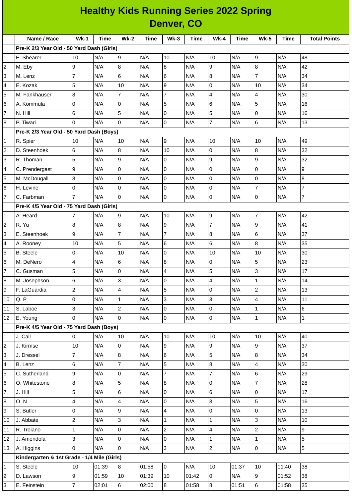| <b>Healthy Kids Running Series 2022 Spring</b> |                                             |                |             |                 |             |                |       |                |             |                 |             |                     |
|------------------------------------------------|---------------------------------------------|----------------|-------------|-----------------|-------------|----------------|-------|----------------|-------------|-----------------|-------------|---------------------|
|                                                | <b>Denver, CO</b>                           |                |             |                 |             |                |       |                |             |                 |             |                     |
|                                                | Name / Race                                 | $Wk-1$         | <b>Time</b> | $Wk-2$          | <b>Time</b> | $Wk-3$         | Time  | <b>Wk-4</b>    | <b>Time</b> | <b>Wk-5</b>     | <b>Time</b> | <b>Total Points</b> |
|                                                | Pre-K 2/3 Year Old - 50 Yard Dash (Girls)   |                |             |                 |             |                |       |                |             |                 |             |                     |
| $\mathbf{1}$                                   | E. Shearer                                  | 10             | N/A         | 9               | N/A         | 10             | N/A   | 10             | N/A         | 9               | N/A         | 48                  |
| $\overline{c}$                                 | M. Eby                                      | 9              | N/A         | 8               | N/A         | 8              | N/A   | 9              | N/A         | 8               | N/A         | 42                  |
| 3                                              | M. Lenz                                     | $\overline{7}$ | N/A         | 6               | N/A         | 6              | N/A   | 8              | N/A         | $\overline{7}$  | N/A         | 34                  |
| 4                                              | E. Kozak                                    | 5              | N/A         | 10              | N/A         | 9              | N/A   | 0              | N/A         | 10              | N/A         | 34                  |
| 5                                              | M. Fankhauser                               | 8              | N/A         | $\overline{7}$  | N/A         | $\overline{7}$ | N/A   | 4              | N/A         | 4               | N/A         | 30                  |
| 6                                              | A. Kommula                                  | $\overline{0}$ | N/A         | $\Omega$        | N/A         | 5              | N/A   | 6              | N/A         | 5               | N/A         | 16                  |
| $\overline{7}$                                 | N. Hill                                     | 6              | N/A         | 5               | N/A         | 0              | N/A   | 5              | N/A         | 0               | N/A         | 16                  |
| 8                                              | P. Tiwari                                   | $\Omega$       | N/A         | $\Omega$        | N/A         | 0              | N/A   | $\overline{7}$ | N/A         | 6               | N/A         | 13                  |
|                                                | Pre-K 2/3 Year Old - 50 Yard Dash (Boys)    |                |             |                 |             |                |       |                |             |                 |             |                     |
| 1                                              | R. Spier                                    | 10             | N/A         | 10              | N/A         | 9              | N/A   | 10             | N/A         | 10              | N/A         | 49                  |
| $\overline{c}$                                 | D. Steenhoek                                | 6              | N/A         | 8               | N/A         | 10             | N/A   | 0              | N/A         | $\overline{8}$  | N/A         | 32                  |
| 3                                              | R. Thoman                                   | 5              | N/A         | 9               | N/A         | 0              | N/A   | 9              | N/A         | 9               | N/A         | 32                  |
| 4                                              | C. Prendergast                              | 9              | N/A         | 0               | N/A         | 0              | N/A   | 0              | N/A         | $\mathsf{O}$    | N/A         | 9                   |
| 5                                              | M. McDougall                                | 8              | N/A         | $\Omega$        | N/A         | 0              | N/A   | 0              | N/A         | $\overline{0}$  | N/A         | 8                   |
| 6                                              | H. Levine                                   | 0              | N/A         | 0               | N/A         | 0              | N/A   | 0              | N/A         | $\overline{7}$  | N/A         | $\overline{7}$      |
| $\overline{7}$                                 | C. Farbman                                  | $\overline{7}$ | N/A         | $\Omega$        | N/A         | 0              | N/A   | 0              | N/A         | 0               | N/A         | $\overline{7}$      |
|                                                | Pre-K 4/5 Year Old - 75 Yard Dash (Girls)   |                |             |                 |             |                |       |                |             |                 |             |                     |
| 1                                              | A. Heard                                    | 7              | N/A         | 9               | N/A         | 10             | N/A   | 9              | N/A         | $\overline{7}$  | N/A         | 42                  |
| $\overline{c}$                                 | R. Yu                                       | 8              | N/A         | 8               | N/A         | 9              | N/A   | $\overline{7}$ | N/A         | 9               | N/A         | 41                  |
| 3                                              | E. Steenhoek                                | 9              | N/A         | $\overline{7}$  | N/A         | $\overline{7}$ | N/A   | 8              | N/A         | 6               | N/A         | 37                  |
| 4                                              | A. Rooney                                   | 10             | N/A         | 5               | N/A         | 6              | N/A   | 6              | N/A         | 8               | N/A         | 35                  |
| 5                                              | <b>B.</b> Steele                            | 0              | N/A         | 10              | N/A         | 0              | N/A   | 10             | N/A         | 10              | N/A         | 30                  |
| 6                                              | M. DeNero                                   | $\overline{4}$ | N/A         | 6               | N/A         | 8              | N/A   | 0              | N/A         | 5               | N/A         | 23                  |
| $\overline{7}$                                 | C. Gusman                                   | 5              | N/A         | 0               | N/A         | 4              | N/A   | 5              | N/A         | 3               | N/A         | 17                  |
| 8                                              | M. Josephson                                | 6              | N/A         | 3               | N/A         | 0              | N/A   | 4              | N/A         | $\mathbf{1}$    | N/A         | 14                  |
| 9                                              | F. LaGuardia                                | $\overline{c}$ | N/A         | 4               | N/A         | 5              | N/A   | 0              | N/A         | $\overline{2}$  | N/A         | 13                  |
| 10                                             | Q.P                                         | 0              | N/A         | $\mathbf 1$     | N/A         | 3              | N/A   | 3              | N/A         | 4               | N/A         | 11                  |
| 11                                             | S. Laboe                                    | 3              | N/A         | $\overline{c}$  | N/A         | 0              | N/A   | 0              | N/A         | $\mathbf{1}$    | N/A         | 6                   |
| 12                                             | E. Young                                    | $\Omega$       | N/A         | $\Omega$        | N/A         | 0              | N/A   | 0              | N/A         | $\mathbf{1}$    | N/A         | $\mathbf{1}$        |
|                                                | Pre-K 4/5 Year Old - 75 Yard Dash (Boys)    |                |             |                 |             |                |       |                |             |                 |             |                     |
| $\mathbf{1}$                                   | J. Call                                     | 0              | N/A         | 10              | N/A         | $10\,$         | N/A   | 10             | N/A         | 10              | N/A         | 40                  |
| $\overline{c}$                                 | J. Kirmse                                   | 10             | N/A         | $\overline{0}$  | N/A         | 9              | N/A   | $\overline{9}$ | N/A         | $\overline{9}$  | N/A         | 37                  |
| 3                                              | J. Dressel                                  | $\overline{7}$ | N/A         | 8               | N/A         | 6              | N/A   | 5              | N/A         | $\bf{8}$        | N/A         | 34                  |
| 4                                              | B. Lenz                                     | 6              | N/A         | $\overline{7}$  | N/A         | 5              | N/A   | 8              | N/A         | $\overline{4}$  | N/A         | 30                  |
| 5                                              | C. Sutherland                               | 9              | N/A         | 0               | N/A         | $\overline{7}$ | N/A   | $\overline{7}$ | N/A         | 6               | N/A         | 29                  |
| 6                                              | O. Whitestone                               | 8              | N/A         | 5               | N/A         | 8              | N/A   | 0              | N/A         | $\overline{7}$  | N/A         | 28                  |
| $\overline{7}$                                 | J. Hill                                     | 5              | N/A         | 6               | N/A         | 0              | N/A   | 6              | N/A         | 0               | N/A         | 17                  |
| 8                                              | <b>O.N</b>                                  | 4              | N/A         | 4               | N/A         | 0              | N/A   | 3              | N/A         | 5               | N/A         | 16                  |
| 9                                              | S. Butler                                   | 0              | N/A         | 9               | N/A         | 4              | N/A   | 0              | N/A         | 0               | N/A         | 13                  |
| 10                                             | J. Abbate                                   | $\overline{c}$ | N/A         | 3               | N/A         | $\mathbf 1$    | N/A   | $\mathbf{1}$   | N/A         | 3               | N/A         | 10                  |
| 11                                             | R. Troiano                                  | $\mathbf{1}$   | N/A         | 0               | N/A         | $\overline{c}$ | N/A   | 4              | N/A         | $\overline{c}$  | N/A         | 9                   |
| 12                                             | J. Amendola                                 | 3              | N/A         | 0               | N/A         | 0              | N/A   | 1              | N/A         | $\mathbf{1}$    | N/A         | 5                   |
| 13                                             | A. Higgins                                  | $\Omega$       | N/A         | $\Omega$        | N/A         | 3              | N/A   | $\overline{c}$ | N/A         | 0               | N/A         | 5                   |
|                                                | Kindergarten & 1st Grade - 1/4 Mile (Girls) |                |             |                 |             |                |       |                |             |                 |             |                     |
| 1                                              | S. Steele                                   | 10             | 01:39       | 8               | 01:58       | $\overline{0}$ | N/A   | 10             | 01:37       | 10              | 01:40       | 38                  |
| $\overline{\mathbf{c}}$                        | D. Lawson                                   | 9              | 01:59       | $10\,$          | 01:39       | $10\,$         | 01:42 | 0              | N/A         | $\overline{9}$  | 01:52       | 38                  |
| 3                                              | E. Feinstein                                | $\overline{7}$ | 02:01       | $6\phantom{.0}$ | 02:00       | $\bf{8}$       | 01:58 | 8              | 01:51       | $6\overline{6}$ | 01:58       | 35                  |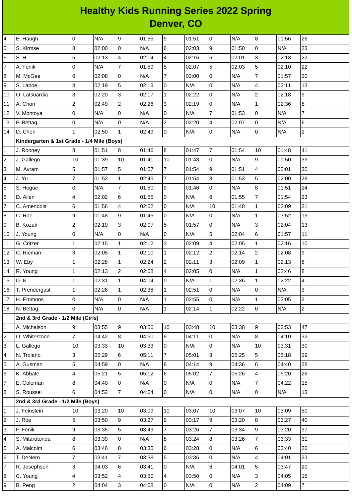## **Healthy Kids Running Series 2022 Spring Denver, CO**

| 4                       | E. Haugh                                   | l0                       | N/A   | 9              | 01:55 | 9              | 01:51 | lo.            | N/A   | 8               | 01:56 | 26             |
|-------------------------|--------------------------------------------|--------------------------|-------|----------------|-------|----------------|-------|----------------|-------|-----------------|-------|----------------|
| 5                       | S. Kirmse                                  | $\bf{8}$                 | 02:00 | 0              | N/A   | 6              | 02:03 | 9              | 01:50 | 0               | N/A   | 23             |
| 6                       | S.H                                        | 5                        | 02:13 | $\overline{4}$ | 02:14 | 4              | 02:16 | 6              | 02:01 | 3               | 02:13 | 22             |
| $\overline{7}$          | A. Fenik                                   | 0                        | N/A   | $\overline{7}$ | 01:59 | 5              | 02:07 | 5              | 02:03 | 5               | 02:10 | 22             |
| 8                       | M. McGee                                   | $6\phantom{.}6$          | 02:08 | l0             | N/A   | $\overline{7}$ | 02:00 | $\Omega$       | N/A   | $\overline{7}$  | 01:57 | 20             |
| 9                       | S. Laboe                                   | $\overline{4}$           | 02:19 | 5              | 02:13 | $\mathbf 0$    | N/A   | $\overline{0}$ | N/A   | $\overline{4}$  | 02:11 | 13             |
| 10                      | O. LaGuardia                               | 3                        | 02:20 | 3              | 02:17 | $\mathbf{1}$   | 02:22 | l0             | N/A   | $\overline{c}$  | 02:18 | 9              |
| 11                      | A. Chon                                    | $\overline{c}$           | 02:49 | $\overline{c}$ | 02:26 | 3              | 02:19 | $\overline{0}$ | N/A   | $\mathbf{1}$    | 02:36 | 8              |
| 12                      | V. Montoya                                 | $\overline{0}$           | N/A   | $\overline{0}$ | N/A   | $\mathbf 0$    | N/A   | $\overline{7}$ | 01:53 | $\overline{0}$  | N/A   | $\overline{7}$ |
| 13                      | P. Bettag                                  | 0                        | N/A   | 0              | N/A   | $\overline{c}$ | 02:20 | 4              | 02:07 | 0               | N/A   | 6              |
| 14                      | D. Chon                                    | 1                        | 02:50 | $\overline{1}$ | 02:49 | 0              | N/A   | $\overline{0}$ | N/A   | $\overline{0}$  | N/A   | $\overline{c}$ |
|                         | Kindergarten & 1st Grade - 1/4 Mile (Boys) |                          |       |                |       |                |       |                |       |                 |       |                |
| $\mathbf{1}$            | J. Rooney                                  | 8                        | 01:51 | 8              | 01:46 | $\bf{8}$       | 01:47 | 7              | 01:54 | 10              | 01:48 | 41             |
| $\overline{c}$          | J. Gallego                                 | 10                       | 01:39 | 10             | 01:41 | 10             | 01:43 | l <sub>0</sub> | N/A   | 9               | 01:50 | 39             |
| 3                       | M. Avram                                   | 5                        | 01:57 | 5              | 01:57 | $\overline{7}$ | 01:54 | 9              | 01:51 | 4               | 02:01 | 30             |
| 4                       | J. Yu                                      | $\overline{7}$           | 01:52 | $\mathbf{1}$   | 02:45 | $\overline{7}$ | 01:54 | 8              | 01:53 | 5               | 02:00 | 28             |
| 5                       | S. Hogue                                   | $\mathsf 0$              | N/A   | $\overline{7}$ | 01:50 | 9              | 01:46 | $\overline{0}$ | N/A   | 8               | 01:51 | 24             |
| 6                       | D. Allen                                   | $\overline{4}$           | 02:02 | 6              | 01:55 | 0              | N/A   | 6              | 01:55 | 7               | 01:54 | 23             |
| $\overline{7}$          | C. Amendola                                | $6\phantom{.}6$          | 01:56 | $\overline{4}$ | 02:02 | $\mathbf 0$    | N/A   | 10             | 01:48 | $\mathbf{1}$    | 02:09 | 21             |
| 8                       | C. Roe                                     | 9                        | 01:48 | 9              | 01:45 | 0              | N/A   | 0              | N/A   | $\mathbf{1}$    | 03:52 | 19             |
| 9                       | B. Kozak                                   | $\overline{c}$           | 02:10 | 3              | 02:07 | 5              | 01:57 | $\overline{0}$ | N/A   | 3               | 02:04 | 13             |
| 10                      | J. Young                                   | 0                        | N/A   | 0              | N/A   | 0              | N/A   | 5              | 02:04 | $6\phantom{.}6$ | 01:57 | 11             |
| 11                      | G. Critzer                                 | 1                        | 02:15 | $\mathbf{1}$   | 02:12 | 3              | 02:09 | $\overline{4}$ | 02:05 | $\mathbf{1}$    | 02:16 | 10             |
| 12                      | C. Rieman                                  | 3                        | 02:05 | $\mathbf{1}$   | 02:10 | $\mathbf{1}$   | 02:12 | $\overline{c}$ | 02:14 | $\overline{c}$  | 02:08 | 9              |
| 13                      | W. Eby                                     | $\mathbf{1}$             | 02:28 | $\mathbf{1}$   | 02:24 | $\overline{c}$ | 02:11 | 3              | 02:09 | $\mathbf{1}$    | 02:13 | 8              |
| 14                      | R. Young                                   | 1                        | 02:13 | $\overline{c}$ | 02:08 | 4              | 02:05 | 0              | N/A   | 1               | 02:46 | 8              |
| 15                      | D.N                                        | 1                        | 02:31 | $\mathbf{1}$   | 04:04 | 0              | N/A   | $\mathbf{1}$   | 02:36 | $\mathbf{1}$    | 02:22 | 4              |
| 16                      | T. Prendergast                             | 1                        | 02:26 | $\mathbf{1}$   | 02:38 | $\mathbf{1}$   | 02:51 | 0              | N/A   | 0               | N/A   | 3              |
| 17                      | H. Emmons                                  | O                        | N/A   | O              | N/A   | $\mathbf{1}$   | 02:55 | 0              | N/A   | $\mathbf{1}$    | 03:05 | $\overline{c}$ |
| 18                      | N. Bettag                                  | l0                       | N/A   | l0             | N/A   | $\mathbf{1}$   | 02:14 | $\mathbf{1}$   | 02:22 | O               | N/A   | $\overline{c}$ |
|                         | 2nd & 3rd Grade - 1/2 Mile (Girls)         |                          |       |                |       |                |       |                |       |                 |       |                |
| $\mathbf 1$             | A. Michalson                               | 9                        | 03:55 | 9              | 03:56 | 10             | 03:48 | 10             | 03:38 | 9               | 03:53 | 47             |
| $\overline{\mathbf{c}}$ | O. Whitestone                              | $\overline{7}$           | 04:42 | 8              | 04:30 | 9              | 04:11 | $\overline{0}$ | N/A   | $\overline{8}$  | 04:10 | 32             |
| 3                       | L. Gallego                                 | 10                       | 03:33 | 10             | 03:33 | 0              | N/A   | 0              | N/A   | 10              | 03:31 | 30             |
| 4                       | N. Troiano                                 | 3                        | 05:29 | 6              | 05:11 | $\overline{7}$ | 05:01 | 8              | 05:25 | 5               | 05:18 | 29             |
| 5                       | A. Gusman                                  | 5                        | 04:59 | 0              | N/A   | 8              | 04:14 | 9              | 04:36 | 6               | 04:40 | 28             |
| 6                       | K. Abbate                                  | $\overline{4}$           | 05:21 | 5              | 05:12 | 6              | 05:02 | $\overline{7}$ | 05:26 | 4               | 05:20 | 26             |
| $\overline{7}$          | E. Coleman                                 | $\bf{8}$                 | 04:40 | 0              | N/A   | 0              | N/A   | 0              | N/A   | $\overline{7}$  | 04:22 | 15             |
| 8                       | S. Roussel                                 | 6                        | 04:52 | $\overline{7}$ | 04:54 | $\overline{0}$ | N/A   | $\overline{0}$ | N/A   | $\overline{0}$  | N/A   | 13             |
|                         | 2nd & 3rd Grade - 1/2 Mile (Boys)          |                          |       |                |       |                |       |                |       |                 |       |                |
| 1                       | J. Feinstein                               | 10                       | 03:20 | 10             | 03:09 | 10             | 03:07 | 10             | 03:07 | 10              | 03:09 | 50             |
| 2                       | J. Roe                                     | 5                        | 03:50 | 9              | 03:27 | $\overline{9}$ | 03:17 | 9              | 03:20 | 8               | 03:27 | 40             |
| 3                       | F. Fenik                                   | 9                        | 03:35 | 5              | 03:49 | $\overline{7}$ | 03:26 | $\overline{7}$ | 03:34 | 9               | 03:20 | 37             |
| 4                       | S. Mitarotonda                             | $\bf{8}$                 | 03:39 | 0              | N/A   | 8              | 03:24 | $8\,$          | 03:26 | $\overline{7}$  | 03:33 | 31             |
| 5                       | A. Malcolm                                 | 6                        | 03:46 | 8              | 03:35 | 6              | 03:28 | 0              | N/A   | 6               | 03:40 | 26             |
| 6                       | T. DeNero                                  | $\overline{7}$           | 03:41 | $\overline{7}$ | 03:38 | 5              | 03:36 | $\overline{0}$ | N/A   | 4               | 04:01 | 23             |
| $\overline{7}$          | R. Josephson                               | 3                        | 04:03 | 6              | 03:41 | $\overline{0}$ | N/A   | $\,6$          | 04:01 | 5               | 03:47 | 20             |
| 8                       | C. Young                                   | $\overline{\mathcal{L}}$ | 03:52 | 4              | 03:50 | 4              | 03:50 | $\overline{0}$ | N/A   | 3               | 04:05 | 15             |
| 9                       | B. Peng                                    | $\overline{c}$           | 04:04 | 3              | 04:08 | 0              | N/A   | $\overline{0}$ | N/A   | $\overline{2}$  | 04:09 | $\overline{7}$ |
|                         |                                            |                          |       |                |       |                |       |                |       |                 |       |                |